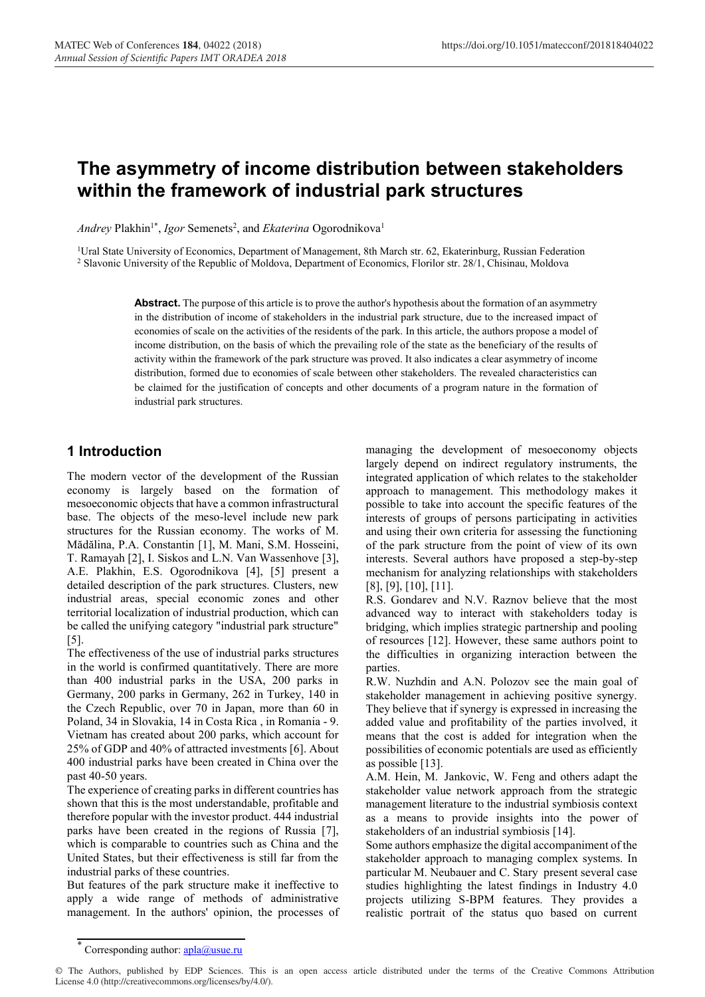# **The asymmetry of income distribution between stakeholders within the framework of industrial park structures**

*Andrey* Plakhin<sup>1\*</sup>, *Igor* Semenets<sup>2</sup>, and *Ekaterina* Ogorodnikova<sup>1</sup>

<sup>1</sup>Ural State University of Economics, Department of Management, 8th March str. 62, Ekaterinburg, Russian Federation <sup>2</sup> Slavonic University of the Republic of Moldova, Department of Economics, Florilor str. 28/1, Chisinau, Moldova

> **Abstract.** The purpose of this article is to prove the author's hypothesis about the formation of an asymmetry in the distribution of income of stakeholders in the industrial park structure, due to the increased impact of economies of scale on the activities of the residents of the park. In this article, the authors propose a model of income distribution, on the basis of which the prevailing role of the state as the beneficiary of the results of activity within the framework of the park structure was proved. It also indicates a clear asymmetry of income distribution, formed due to economies of scale between other stakeholders. The revealed characteristics can be claimed for the justification of concepts and other documents of a program nature in the formation of industrial park structures.

# **1 Introduction**

The modern vector of the development of the Russian economy is largely based on the formation of mesoeconomic objects that have a common infrastructural base. The objects of the meso-level include new park structures for the Russian economy. The works of M. Mădălina, P.A. Constantin [1], M. Mani, S.M. Hosseini, T. Ramayah [2], I. Siskos and L.N. Van Wassenhove [3], A.E. Plakhin, E.S. Ogorodnikova [4], [5] present a detailed description of the park structures. Clusters, new industrial areas, special economic zones and other territorial localization of industrial production, which can be called the unifying category "industrial park structure" [5].

The effectiveness of the use of industrial parks structures in the world is confirmed quantitatively. There are more than 400 industrial parks in the USA, 200 parks in Germany, 200 parks in Germany, 262 in Turkey, 140 in the Czech Republic, over 70 in Japan, more than 60 in Poland, 34 in Slovakia, 14 in Costa Rica , in Romania - 9. Vietnam has created about 200 parks, which account for 25% of GDP and 40% of attracted investments [6]. About 400 industrial parks have been created in China over the past 40-50 years.

The experience of creating parks in different countries has shown that this is the most understandable, profitable and therefore popular with the investor product. 444 industrial parks have been created in the regions of Russia [7], which is comparable to countries such as China and the United States, but their effectiveness is still far from the industrial parks of these countries.

But features of the park structure make it ineffective to apply a wide range of methods of administrative management. In the authors' opinion, the processes of managing the development of mesoeconomy objects largely depend on indirect regulatory instruments, the integrated application of which relates to the stakeholder approach to management. This methodology makes it possible to take into account the specific features of the interests of groups of persons participating in activities and using their own criteria for assessing the functioning of the park structure from the point of view of its own interests. Several authors have proposed a step-by-step mechanism for analyzing relationships with stakeholders [8], [9], [10], [11].

R.S. Gondarev and N.V. Raznov believe that the most advanced way to interact with stakeholders today is bridging, which implies strategic partnership and pooling of resources [12]. However, these same authors point to the difficulties in organizing interaction between the parties.

R.W. Nuzhdin and A.N. Polozov see the main goal of stakeholder management in achieving positive synergy. They believe that if synergy is expressed in increasing the added value and profitability of the parties involved, it means that the cost is added for integration when the possibilities of economic potentials are used as efficiently as possible [13].

A.M. Hein, M. Jankovic, W. Feng and others adapt the stakeholder value network approach from the strategic management literature to the industrial symbiosis context as a means to provide insights into the power of stakeholders of an industrial symbiosis [14].

Some authors emphasize the digital accompaniment of the stakeholder approach to managing complex systems. In particular M. Neubauer and C. Stary present several case studies highlighting the latest findings in Industry 4.0 projects utilizing S-BPM features. They provides a realistic portrait of the status quo based on current

© The Authors, published by EDP Sciences. This is an open access article distributed under the terms of the Creative Commons Attribution License 4.0 (http://creativecommons.org/licenses/by/4.0/).

Corresponding author: **apla@usue**.ru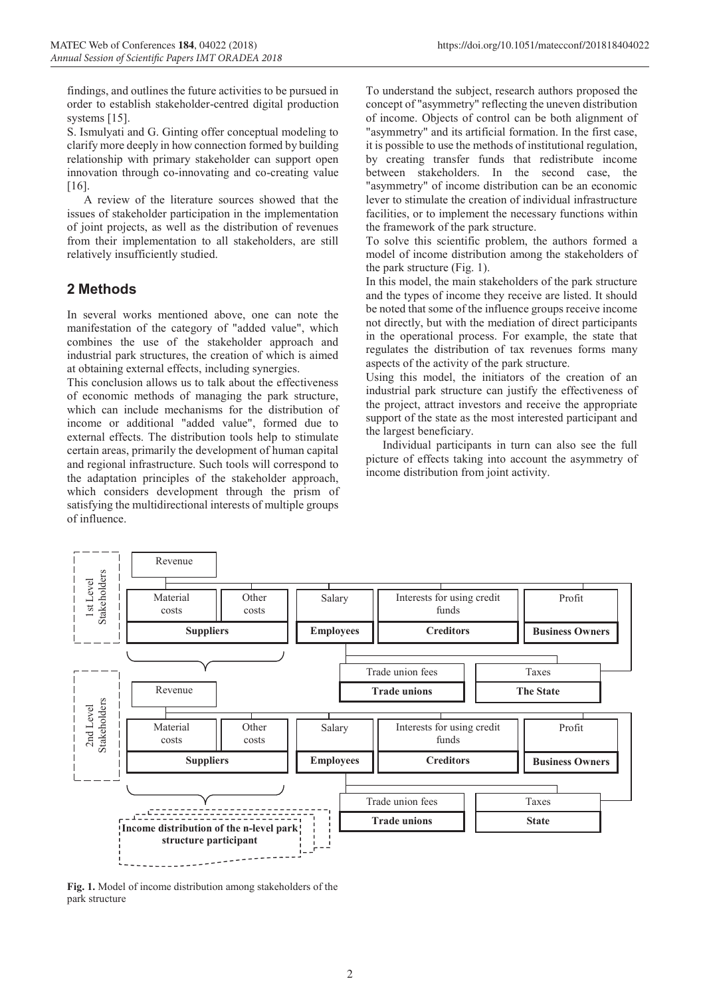findings, and outlines the future activities to be pursued in order to establish stakeholder-centred digital production systems [15].

S. Ismulyati and G. Ginting offer conceptual modeling to clarify more deeply in how connection formed by building relationship with primary stakeholder can support open innovation through co-innovating and co-creating value [16].

A review of the literature sources showed that the issues of stakeholder participation in the implementation of joint projects, as well as the distribution of revenues from their implementation to all stakeholders, are still relatively insufficiently studied.

## **2 Methods**

In several works mentioned above, one can note the manifestation of the category of "added value", which combines the use of the stakeholder approach and industrial park structures, the creation of which is aimed at obtaining external effects, including synergies.

This conclusion allows us to talk about the effectiveness of economic methods of managing the park structure, which can include mechanisms for the distribution of income or additional "added value", formed due to external effects. The distribution tools help to stimulate certain areas, primarily the development of human capital and regional infrastructure. Such tools will correspond to the adaptation principles of the stakeholder approach, which considers development through the prism of satisfying the multidirectional interests of multiple groups of influence.

To understand the subject, research authors proposed the concept of "asymmetry" reflecting the uneven distribution of income. Objects of control can be both alignment of "asymmetry" and its artificial formation. In the first case, it is possible to use the methods of institutional regulation, by creating transfer funds that redistribute income between stakeholders. In the second case, the "asymmetry" of income distribution can be an economic lever to stimulate the creation of individual infrastructure facilities, or to implement the necessary functions within the framework of the park structure.

To solve this scientific problem, the authors formed a model of income distribution among the stakeholders of the park structure (Fig. 1).

In this model, the main stakeholders of the park structure and the types of income they receive are listed. It should be noted that some of the influence groups receive income not directly, but with the mediation of direct participants in the operational process. For example, the state that regulates the distribution of tax revenues forms many aspects of the activity of the park structure.

Using this model, the initiators of the creation of an industrial park structure can justify the effectiveness of the project, attract investors and receive the appropriate support of the state as the most interested participant and the largest beneficiary.

Individual participants in turn can also see the full picture of effects taking into account the asymmetry of income distribution from joint activity.



**Fig. 1.** Model of income distribution among stakeholders of the park structure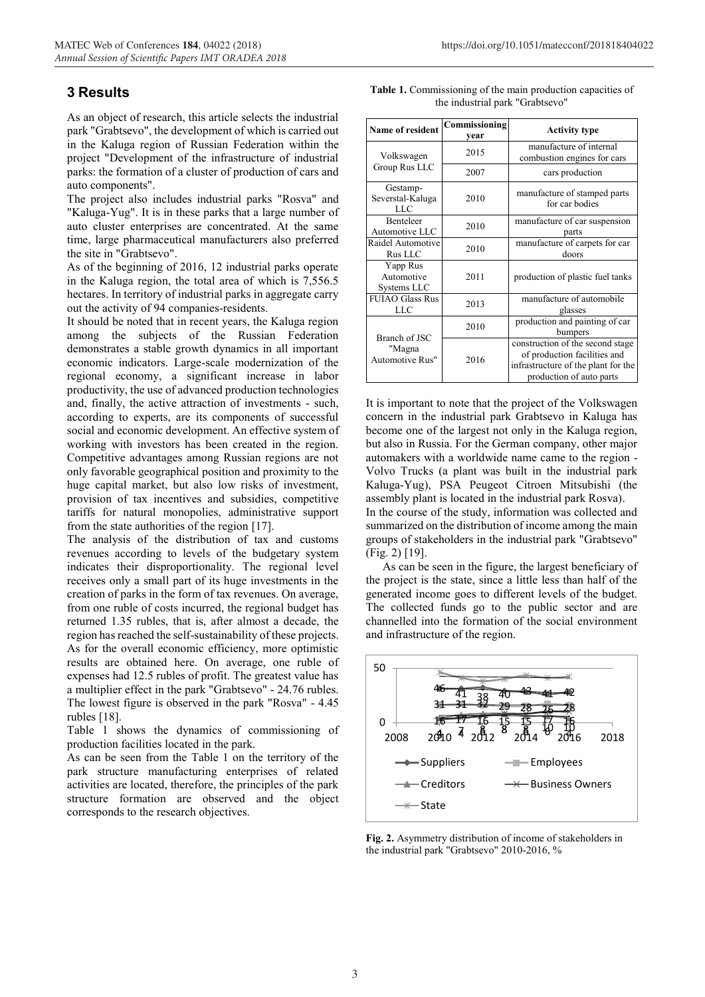## **3 Results**

As an object of research, this article selects the industrial park "Grabtsevo", the development of which is carried out in the Kaluga region of Russian Federation within the project "Development of the infrastructure of industrial parks: the formation of a cluster of production of cars and auto components".

The project also includes industrial parks "Rosva" and "Kaluga-Yug". It is in these parks that a large number of auto cluster enterprises are concentrated. At the same time, large pharmaceutical manufacturers also preferred the site in "Grabtsevo".

As of the beginning of 2016, 12 industrial parks operate in the Kaluga region, the total area of which is 7,556.5 hectares. In territory of industrial parks in aggregate carry out the activity of 94 companies-residents.

It should be noted that in recent years, the Kaluga region among the subjects of the Russian Federation demonstrates a stable growth dynamics in all important economic indicators. Large-scale modernization of the regional economy, a significant increase in labor productivity, the use of advanced production technologies and, finally, the active attraction of investments - such, according to experts, are its components of successful social and economic development. An effective system of working with investors has been created in the region. Competitive advantages among Russian regions are not only favorable geographical position and proximity to the huge capital market, but also low risks of investment, provision of tax incentives and subsidies, competitive tariffs for natural monopolies, administrative support from the state authorities of the region [17].

The analysis of the distribution of tax and customs revenues according to levels of the budgetary system indicates their disproportionality. The regional level receives only a small part of its huge investments in the creation of parks in the form of tax revenues. On average, from one ruble of costs incurred, the regional budget has returned 1.35 rubles, that is, after almost a decade, the region has reached the self-sustainability of these projects. As for the overall economic efficiency, more optimistic results are obtained here. On average, one ruble of expenses had 12.5 rubles of profit. The greatest value has a multiplier effect in the park "Grabtsevo" - 24.76 rubles. The lowest figure is observed in the park "Rosva" - 4.45 rubles [18].

Table 1 shows the dynamics of commissioning of production facilities located in the park.

As can be seen from the Table 1 on the territory of the park structure manufacturing enterprises of related activities are located, therefore, the principles of the park structure formation are observed and the object corresponds to the research objectives.

| <b>Table 1.</b> Commissioning of the main production capacities of |  |                                 |  |
|--------------------------------------------------------------------|--|---------------------------------|--|
|                                                                    |  | the industrial park "Grabtsevo" |  |

| Name of resident                      | Commissioning<br>vear | <b>Activity type</b>                                                                                                                |  |
|---------------------------------------|-----------------------|-------------------------------------------------------------------------------------------------------------------------------------|--|
| Volkswagen                            | 2015                  | manufacture of internal<br>combustion engines for cars                                                                              |  |
| Group Rus LLC                         | 2007                  | cars production                                                                                                                     |  |
| Gestamp-<br>Severstal-Kaluga<br>LLC   | 2010                  | manufacture of stamped parts<br>for car bodies                                                                                      |  |
| Benteleer<br>Automotive LLC           | 2010                  | manufacture of car suspension<br>parts                                                                                              |  |
| Raidel Automotive<br>Rus LLC          | 2010                  | manufacture of carpets for car<br>doors                                                                                             |  |
| Yapp Rus<br>Automotive<br>Systems LLC | 2011                  | production of plastic fuel tanks                                                                                                    |  |
| <b>FUIAO Glass Rus</b><br><b>LLC</b>  | 2013                  | manufacture of automobile<br>glasses                                                                                                |  |
| <b>Branch of JSC</b>                  | 2010                  | production and painting of car<br>bumpers                                                                                           |  |
| "Magna<br>Automotive Rus"             | 2016                  | construction of the second stage<br>of production facilities and<br>infrastructure of the plant for the<br>production of auto parts |  |

It is important to note that the project of the Volkswagen concern in the industrial park Grabtsevo in Kaluga has become one of the largest not only in the Kaluga region, but also in Russia. For the German company, other major automakers with a worldwide name came to the region - Volvo Trucks (a plant was built in the industrial park Kaluga-Yug), PSA Peugeot Citroen Mitsubishi (the assembly plant is located in the industrial park Rosva). In the course of the study, information was collected and summarized on the distribution of income among the main groups of stakeholders in the industrial park "Grabtsevo" (Fig. 2) [19].

As can be seen in the figure, the largest beneficiary of the project is the state, since a little less than half of the generated income goes to different levels of the budget. The collected funds go to the public sector and are channelled into the formation of the social environment and infrastructure of the region.



**Fig. 2.** Asymmetry distribution of income of stakeholders in the industrial park "Grabtsevo" 2010-2016, %